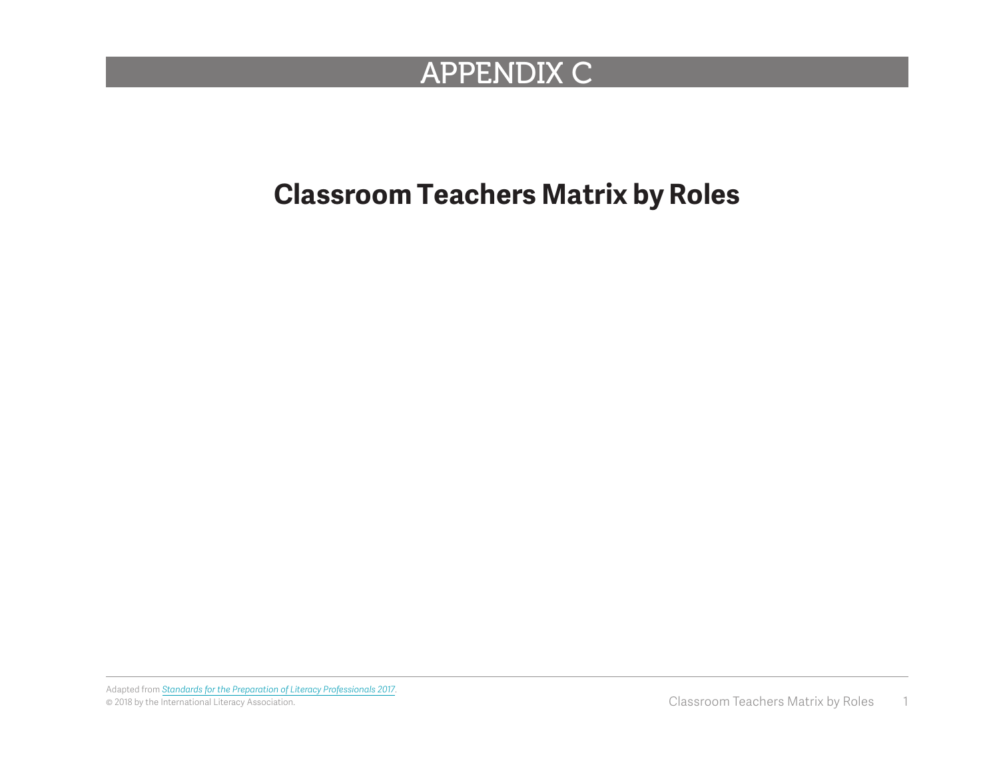## APPENDIX C

## **Classroom Teachers Matrix by Roles**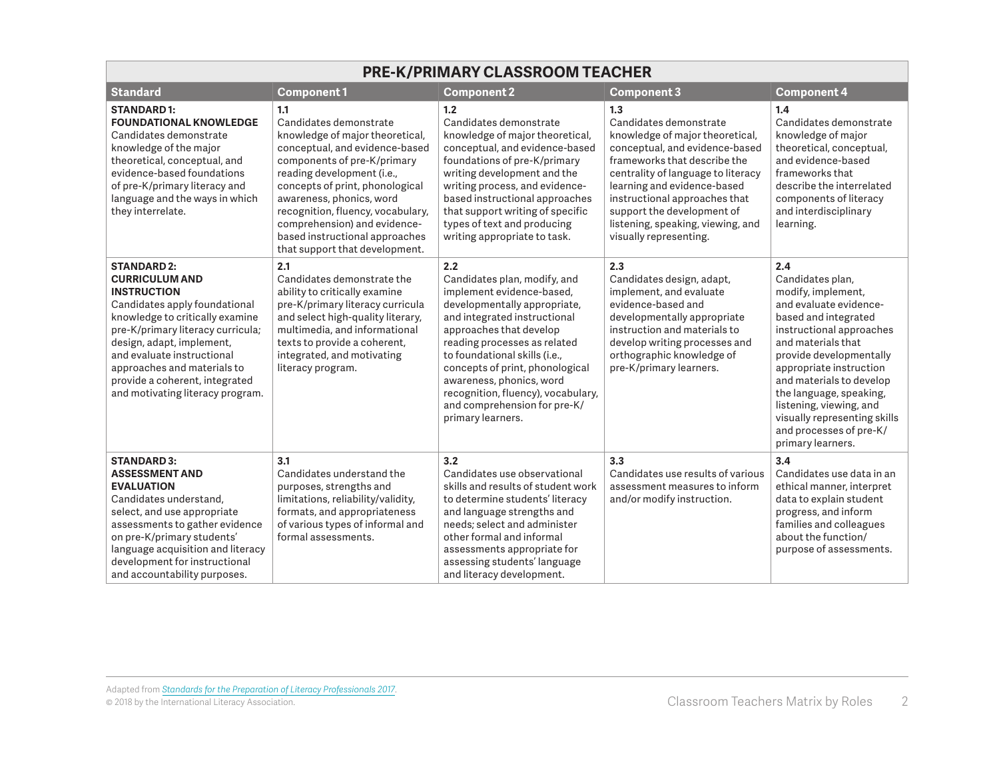| <b>PRE-K/PRIMARY CLASSROOM TEACHER</b>                                                                                                                                                                                                                                                                                                     |                                                                                                                                                                                                                                                                                                                                                                         |                                                                                                                                                                                                                                                                                                                                                                                        |                                                                                                                                                                                                                                                                                                                                       |                                                                                                                                                                                                                                                                                                                                                                           |
|--------------------------------------------------------------------------------------------------------------------------------------------------------------------------------------------------------------------------------------------------------------------------------------------------------------------------------------------|-------------------------------------------------------------------------------------------------------------------------------------------------------------------------------------------------------------------------------------------------------------------------------------------------------------------------------------------------------------------------|----------------------------------------------------------------------------------------------------------------------------------------------------------------------------------------------------------------------------------------------------------------------------------------------------------------------------------------------------------------------------------------|---------------------------------------------------------------------------------------------------------------------------------------------------------------------------------------------------------------------------------------------------------------------------------------------------------------------------------------|---------------------------------------------------------------------------------------------------------------------------------------------------------------------------------------------------------------------------------------------------------------------------------------------------------------------------------------------------------------------------|
| <b>Standard</b>                                                                                                                                                                                                                                                                                                                            | <b>Component1</b>                                                                                                                                                                                                                                                                                                                                                       | <b>Component 2</b>                                                                                                                                                                                                                                                                                                                                                                     | <b>Component 3</b>                                                                                                                                                                                                                                                                                                                    | <b>Component 4</b>                                                                                                                                                                                                                                                                                                                                                        |
| <b>STANDARD1:</b><br><b>FOUNDATIONAL KNOWLEDGE</b><br>Candidates demonstrate<br>knowledge of the major<br>theoretical, conceptual, and<br>evidence-based foundations<br>of pre-K/primary literacy and<br>language and the ways in which<br>they interrelate.                                                                               | 1.1<br>Candidates demonstrate<br>knowledge of major theoretical,<br>conceptual, and evidence-based<br>components of pre-K/primary<br>reading development (i.e.,<br>concepts of print, phonological<br>awareness, phonics, word<br>recognition, fluency, vocabulary,<br>comprehension) and evidence-<br>based instructional approaches<br>that support that development. | 1.2<br>Candidates demonstrate<br>knowledge of major theoretical,<br>conceptual, and evidence-based<br>foundations of pre-K/primary<br>writing development and the<br>writing process, and evidence-<br>based instructional approaches<br>that support writing of specific<br>types of text and producing<br>writing appropriate to task.                                               | 1.3<br>Candidates demonstrate<br>knowledge of major theoretical,<br>conceptual, and evidence-based<br>frameworks that describe the<br>centrality of language to literacy<br>learning and evidence-based<br>instructional approaches that<br>support the development of<br>listening, speaking, viewing, and<br>visually representing. | 1.4<br>Candidates demonstrate<br>knowledge of major<br>theoretical, conceptual,<br>and evidence-based<br>frameworks that<br>describe the interrelated<br>components of literacy<br>and interdisciplinary<br>learning.                                                                                                                                                     |
| <b>STANDARD 2:</b><br><b>CURRICULUM AND</b><br><b>INSTRUCTION</b><br>Candidates apply foundational<br>knowledge to critically examine<br>pre-K/primary literacy curricula;<br>design, adapt, implement,<br>and evaluate instructional<br>approaches and materials to<br>provide a coherent, integrated<br>and motivating literacy program. | 2.1<br>Candidates demonstrate the<br>ability to critically examine<br>pre-K/primary literacy curricula<br>and select high-quality literary,<br>multimedia, and informational<br>texts to provide a coherent,<br>integrated, and motivating<br>literacy program.                                                                                                         | 2.2<br>Candidates plan, modify, and<br>implement evidence-based,<br>developmentally appropriate,<br>and integrated instructional<br>approaches that develop<br>reading processes as related<br>to foundational skills (i.e.,<br>concepts of print, phonological<br>awareness, phonics, word<br>recognition, fluency), vocabulary,<br>and comprehension for pre-K/<br>primary learners. | 2.3<br>Candidates design, adapt,<br>implement, and evaluate<br>evidence-based and<br>developmentally appropriate<br>instruction and materials to<br>develop writing processes and<br>orthographic knowledge of<br>pre-K/primary learners.                                                                                             | 2.4<br>Candidates plan,<br>modify, implement,<br>and evaluate evidence-<br>based and integrated<br>instructional approaches<br>and materials that<br>provide developmentally<br>appropriate instruction<br>and materials to develop<br>the language, speaking,<br>listening, viewing, and<br>visually representing skills<br>and processes of pre-K/<br>primary learners. |
| <b>STANDARD 3:</b><br><b>ASSESSMENT AND</b><br><b>EVALUATION</b><br>Candidates understand,<br>select, and use appropriate<br>assessments to gather evidence<br>on pre-K/primary students'<br>language acquisition and literacy<br>development for instructional<br>and accountability purposes.                                            | 3.1<br>Candidates understand the<br>purposes, strengths and<br>limitations, reliability/validity,<br>formats, and appropriateness<br>of various types of informal and<br>formal assessments.                                                                                                                                                                            | 3.2<br>Candidates use observational<br>skills and results of student work<br>to determine students' literacy<br>and language strengths and<br>needs; select and administer<br>other formal and informal<br>assessments appropriate for<br>assessing students' language<br>and literacy development.                                                                                    | 3.3<br>Candidates use results of various<br>assessment measures to inform<br>and/or modify instruction.                                                                                                                                                                                                                               | 3.4<br>Candidates use data in an<br>ethical manner, interpret<br>data to explain student<br>progress, and inform<br>families and colleagues<br>about the function/<br>purpose of assessments.                                                                                                                                                                             |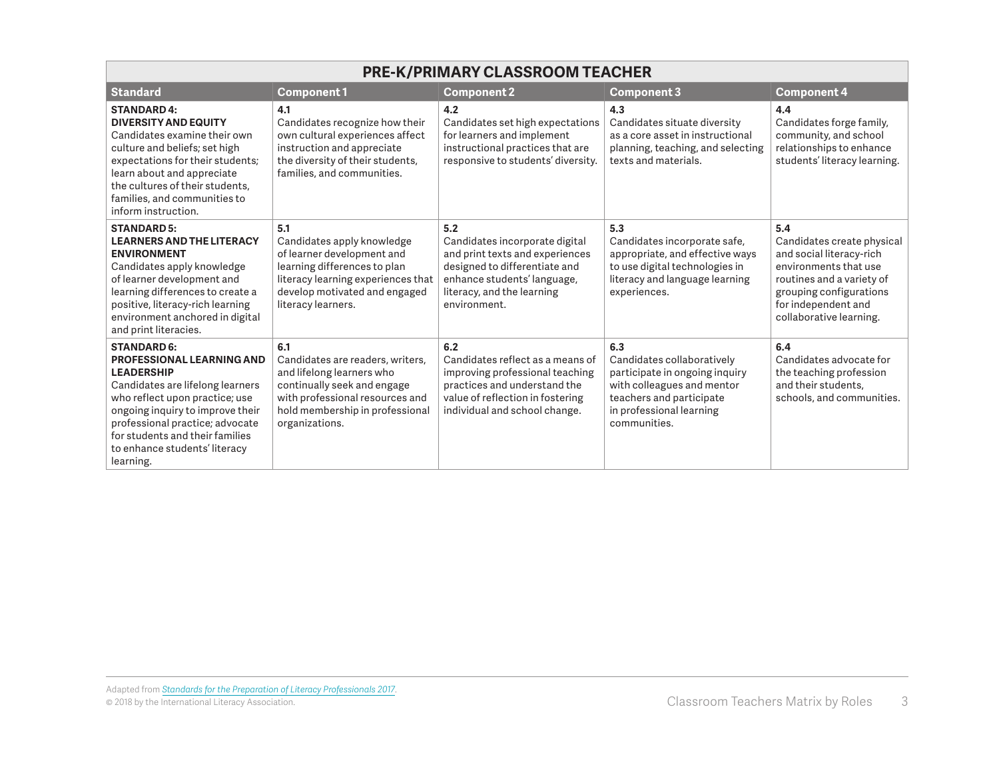| <b>PRE-K/PRIMARY CLASSROOM TEACHER</b>                                                                                                                                                                                                                                                             |                                                                                                                                                                                              |                                                                                                                                                                                        |                                                                                                                                                                           |                                                                                                                                                                                                  |  |
|----------------------------------------------------------------------------------------------------------------------------------------------------------------------------------------------------------------------------------------------------------------------------------------------------|----------------------------------------------------------------------------------------------------------------------------------------------------------------------------------------------|----------------------------------------------------------------------------------------------------------------------------------------------------------------------------------------|---------------------------------------------------------------------------------------------------------------------------------------------------------------------------|--------------------------------------------------------------------------------------------------------------------------------------------------------------------------------------------------|--|
| <b>Standard</b>                                                                                                                                                                                                                                                                                    | <b>Component1</b>                                                                                                                                                                            | <b>Component 2</b>                                                                                                                                                                     | <b>Component 3</b>                                                                                                                                                        | <b>Component 4</b>                                                                                                                                                                               |  |
| <b>STANDARD 4:</b><br><b>DIVERSITY AND EQUITY</b><br>Candidates examine their own<br>culture and beliefs; set high<br>expectations for their students;<br>learn about and appreciate<br>the cultures of their students.<br>families, and communities to<br>inform instruction.                     | 4.1<br>Candidates recognize how their<br>own cultural experiences affect<br>instruction and appreciate<br>the diversity of their students,<br>families, and communities.                     | 4.2<br>Candidates set high expectations<br>for learners and implement<br>instructional practices that are<br>responsive to students' diversity.                                        | 4.3<br>Candidates situate diversity<br>as a core asset in instructional<br>planning, teaching, and selecting<br>texts and materials.                                      | 4.4<br>Candidates forge family,<br>community, and school<br>relationships to enhance<br>students' literacy learning.                                                                             |  |
| <b>STANDARD 5:</b><br><b>LEARNERS AND THE LITERACY</b><br><b>ENVIRONMENT</b><br>Candidates apply knowledge<br>of learner development and<br>learning differences to create a<br>positive, literacy-rich learning<br>environment anchored in digital<br>and print literacies.                       | 5.1<br>Candidates apply knowledge<br>of learner development and<br>learning differences to plan<br>literacy learning experiences that<br>develop motivated and engaged<br>literacy learners. | 5.2<br>Candidates incorporate digital<br>and print texts and experiences<br>designed to differentiate and<br>enhance students' language,<br>literacy, and the learning<br>environment. | 5.3<br>Candidates incorporate safe,<br>appropriate, and effective ways<br>to use digital technologies in<br>literacy and language learning<br>experiences.                | 5.4<br>Candidates create physical<br>and social literacy-rich<br>environments that use<br>routines and a variety of<br>grouping configurations<br>for independent and<br>collaborative learning. |  |
| <b>STANDARD 6:</b><br>PROFESSIONAL LEARNING AND<br><b>LEADERSHIP</b><br>Candidates are lifelong learners<br>who reflect upon practice; use<br>ongoing inquiry to improve their<br>professional practice; advocate<br>for students and their families<br>to enhance students' literacy<br>learning. | 6.1<br>Candidates are readers, writers,<br>and lifelong learners who<br>continually seek and engage<br>with professional resources and<br>hold membership in professional<br>organizations.  | 6.2<br>Candidates reflect as a means of<br>improving professional teaching<br>practices and understand the<br>value of reflection in fostering<br>individual and school change.        | 6.3<br>Candidates collaboratively<br>participate in ongoing inquiry<br>with colleagues and mentor<br>teachers and participate<br>in professional learning<br>communities. | 6.4<br>Candidates advocate for<br>the teaching profession<br>and their students,<br>schools, and communities.                                                                                    |  |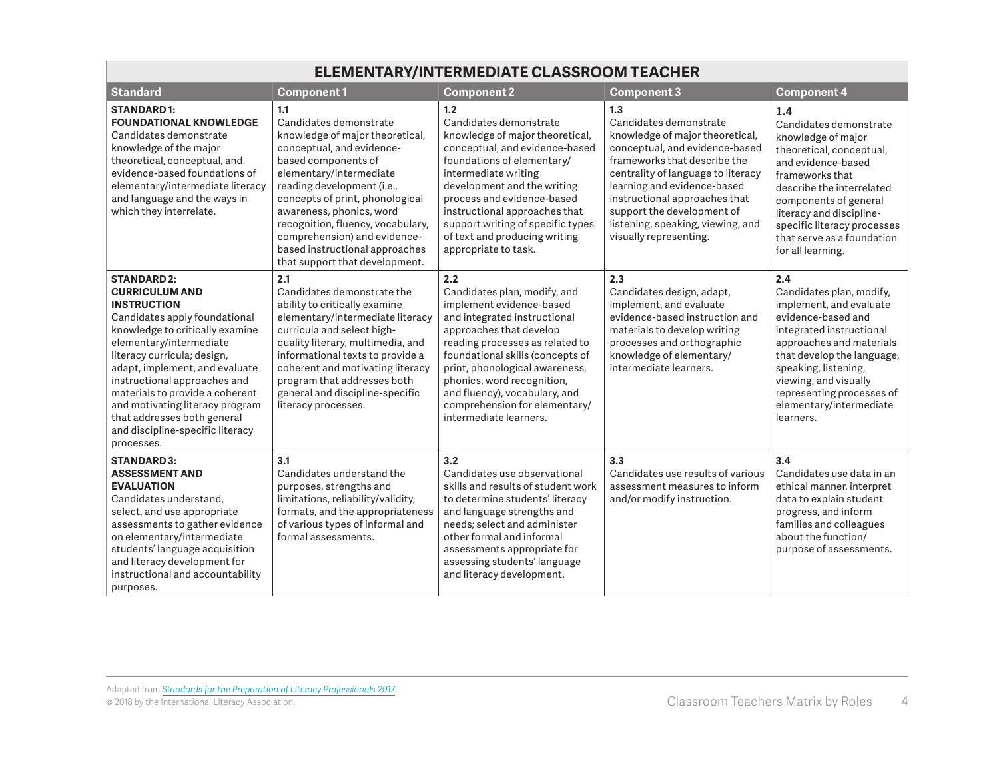| ELEMENTARY/INTERMEDIATE CLASSROOM TEACHER                                                                                                                                                                                                                                                                                                                                                                                |                                                                                                                                                                                                                                                                                                                                                                                       |                                                                                                                                                                                                                                                                                                                                                               |                                                                                                                                                                                                                                                                                                                                       |                                                                                                                                                                                                                                                                                              |
|--------------------------------------------------------------------------------------------------------------------------------------------------------------------------------------------------------------------------------------------------------------------------------------------------------------------------------------------------------------------------------------------------------------------------|---------------------------------------------------------------------------------------------------------------------------------------------------------------------------------------------------------------------------------------------------------------------------------------------------------------------------------------------------------------------------------------|---------------------------------------------------------------------------------------------------------------------------------------------------------------------------------------------------------------------------------------------------------------------------------------------------------------------------------------------------------------|---------------------------------------------------------------------------------------------------------------------------------------------------------------------------------------------------------------------------------------------------------------------------------------------------------------------------------------|----------------------------------------------------------------------------------------------------------------------------------------------------------------------------------------------------------------------------------------------------------------------------------------------|
| <b>Standard</b>                                                                                                                                                                                                                                                                                                                                                                                                          | <b>Component1</b>                                                                                                                                                                                                                                                                                                                                                                     | <b>Component 2</b>                                                                                                                                                                                                                                                                                                                                            | Component 3                                                                                                                                                                                                                                                                                                                           | <b>Component 4</b>                                                                                                                                                                                                                                                                           |
| <b>STANDARD1:</b><br><b>FOUNDATIONAL KNOWLEDGE</b><br>Candidates demonstrate<br>knowledge of the major<br>theoretical, conceptual, and<br>evidence-based foundations of<br>elementary/intermediate literacy<br>and language and the ways in<br>which they interrelate.                                                                                                                                                   | 1.1<br>Candidates demonstrate<br>knowledge of major theoretical,<br>conceptual, and evidence-<br>based components of<br>elementary/intermediate<br>reading development (i.e.,<br>concepts of print, phonological<br>awareness, phonics, word<br>recognition, fluency, vocabulary,<br>comprehension) and evidence-<br>based instructional approaches<br>that support that development. | 1.2<br>Candidates demonstrate<br>knowledge of major theoretical,<br>conceptual, and evidence-based<br>foundations of elementary/<br>intermediate writing<br>development and the writing<br>process and evidence-based<br>instructional approaches that<br>support writing of specific types<br>of text and producing writing<br>appropriate to task.          | 1.3<br>Candidates demonstrate<br>knowledge of major theoretical,<br>conceptual, and evidence-based<br>frameworks that describe the<br>centrality of language to literacy<br>learning and evidence-based<br>instructional approaches that<br>support the development of<br>listening, speaking, viewing, and<br>visually representing. | 1.4<br>Candidates demonstrate<br>knowledge of major<br>theoretical, conceptual,<br>and evidence-based<br>frameworks that<br>describe the interrelated<br>components of general<br>literacy and discipline-<br>specific literacy processes<br>that serve as a foundation<br>for all learning. |
| <b>STANDARD 2:</b><br><b>CURRICULUM AND</b><br><b>INSTRUCTION</b><br>Candidates apply foundational<br>knowledge to critically examine<br>elementary/intermediate<br>literacy curricula; design,<br>adapt, implement, and evaluate<br>instructional approaches and<br>materials to provide a coherent<br>and motivating literacy program<br>that addresses both general<br>and discipline-specific literacy<br>processes. | 2.1<br>Candidates demonstrate the<br>ability to critically examine<br>elementary/intermediate literacy<br>curricula and select high-<br>quality literary, multimedia, and<br>informational texts to provide a<br>coherent and motivating literacy<br>program that addresses both<br>general and discipline-specific<br>literacy processes.                                            | 2.2<br>Candidates plan, modify, and<br>implement evidence-based<br>and integrated instructional<br>approaches that develop<br>reading processes as related to<br>foundational skills (concepts of<br>print, phonological awareness,<br>phonics, word recognition,<br>and fluency), vocabulary, and<br>comprehension for elementary/<br>intermediate learners. | 2.3<br>Candidates design, adapt,<br>implement, and evaluate<br>evidence-based instruction and<br>materials to develop writing<br>processes and orthographic<br>knowledge of elementary/<br>intermediate learners.                                                                                                                     | 2.4<br>Candidates plan, modify,<br>implement, and evaluate<br>evidence-based and<br>integrated instructional<br>approaches and materials<br>that develop the language,<br>speaking, listening,<br>viewing, and visually<br>representing processes of<br>elementary/intermediate<br>learners. |
| <b>STANDARD 3:</b><br><b>ASSESSMENT AND</b><br><b>EVALUATION</b><br>Candidates understand,<br>select, and use appropriate<br>assessments to gather evidence<br>on elementary/intermediate<br>students' language acquisition<br>and literacy development for<br>instructional and accountability<br>purposes.                                                                                                             | 3.1<br>Candidates understand the<br>purposes, strengths and<br>limitations, reliability/validity,<br>formats, and the appropriateness<br>of various types of informal and<br>formal assessments.                                                                                                                                                                                      | 3.2<br>Candidates use observational<br>skills and results of student work<br>to determine students' literacy<br>and language strengths and<br>needs: select and administer<br>other formal and informal<br>assessments appropriate for<br>assessing students' language<br>and literacy development.                                                           | 3.3<br>Candidates use results of various<br>assessment measures to inform<br>and/or modify instruction.                                                                                                                                                                                                                               | 3.4<br>Candidates use data in an<br>ethical manner, interpret<br>data to explain student<br>progress, and inform<br>families and colleagues<br>about the function/<br>purpose of assessments.                                                                                                |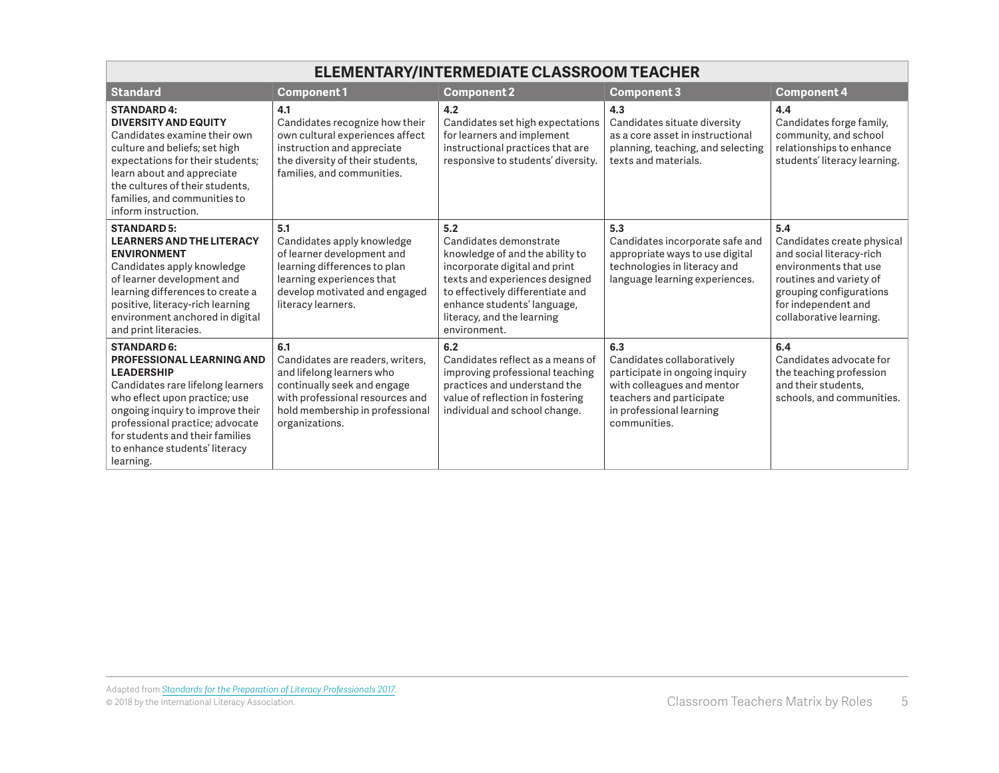| ELEMENTARY/INTERMEDIATE CLASSROOM TEACHER                                                                                                                                                                                                                                                          |                                                                                                                                                                                             |                                                                                                                                                                                                                                                      |                                                                                                                                                                           |                                                                                                                                                                                                |
|----------------------------------------------------------------------------------------------------------------------------------------------------------------------------------------------------------------------------------------------------------------------------------------------------|---------------------------------------------------------------------------------------------------------------------------------------------------------------------------------------------|------------------------------------------------------------------------------------------------------------------------------------------------------------------------------------------------------------------------------------------------------|---------------------------------------------------------------------------------------------------------------------------------------------------------------------------|------------------------------------------------------------------------------------------------------------------------------------------------------------------------------------------------|
| <b>Standard</b>                                                                                                                                                                                                                                                                                    | <b>Component1</b>                                                                                                                                                                           | <b>Component 2</b>                                                                                                                                                                                                                                   | <b>Component 3</b>                                                                                                                                                        | <b>Component 4</b>                                                                                                                                                                             |
| <b>STANDARD 4:</b><br><b>DIVERSITY AND EQUITY</b><br>Candidates examine their own<br>culture and beliefs; set high<br>expectations for their students;<br>learn about and appreciate<br>the cultures of their students,<br>families, and communities to<br>inform instruction.                     | 4.1<br>Candidates recognize how their<br>own cultural experiences affect<br>instruction and appreciate<br>the diversity of their students,<br>families, and communities.                    | 4.2<br>Candidates set high expectations<br>for learners and implement<br>instructional practices that are<br>responsive to students' diversity.                                                                                                      | 4.3<br>Candidates situate diversity<br>as a core asset in instructional<br>planning, teaching, and selecting<br>texts and materials.                                      | 4.4<br>Candidates forge family,<br>community, and school<br>relationships to enhance<br>students' literacy learning.                                                                           |
| <b>STANDARD 5:</b><br><b>LEARNERS AND THE LITERACY</b><br><b>ENVIRONMENT</b><br>Candidates apply knowledge<br>of learner development and<br>learning differences to create a<br>positive, literacy-rich learning<br>environment anchored in digital<br>and print literacies.                       | 5.1<br>Candidates apply knowledge<br>of learner development and<br>learning differences to plan<br>learning experiences that<br>develop motivated and engaged<br>literacy learners.         | 5.2<br>Candidates demonstrate<br>knowledge of and the ability to<br>incorporate digital and print<br>texts and experiences designed<br>to effectively differentiate and<br>enhance students' language,<br>literacy, and the learning<br>environment. | 5.3<br>Candidates incorporate safe and<br>appropriate ways to use digital<br>technologies in literacy and<br>language learning experiences.                               | 5.4<br>Candidates create physical<br>and social literacy-rich<br>environments that use<br>routines and variety of<br>grouping configurations<br>for independent and<br>collaborative learning. |
| <b>STANDARD 6:</b><br>PROFESSIONAL LEARNING AND<br><b>LEADERSHIP</b><br>Candidates rare lifelong learners<br>who eflect upon practice; use<br>ongoing inquiry to improve their<br>professional practice; advocate<br>for students and their families<br>to enhance students' literacy<br>learning. | 6.1<br>Candidates are readers, writers,<br>and lifelong learners who<br>continually seek and engage<br>with professional resources and<br>hold membership in professional<br>organizations. | 6.2<br>Candidates reflect as a means of<br>improving professional teaching<br>practices and understand the<br>value of reflection in fostering<br>individual and school change.                                                                      | 6.3<br>Candidates collaboratively<br>participate in ongoing inquiry<br>with colleagues and mentor<br>teachers and participate<br>in professional learning<br>communities. | 6.4<br>Candidates advocate for<br>the teaching profession<br>and their students.<br>schools, and communities.                                                                                  |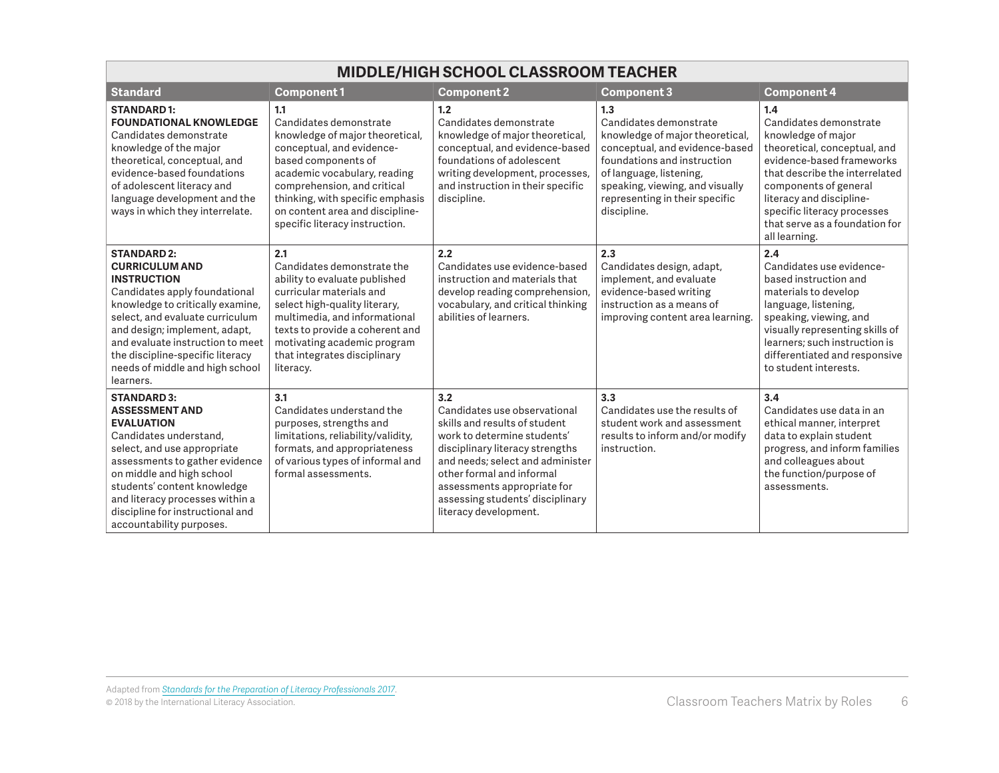| <b>MIDDLE/HIGH SCHOOL CLASSROOM TEACHER</b>                                                                                                                                                                                                                                                                                        |                                                                                                                                                                                                                                                                                              |                                                                                                                                                                                                                                                                                                     |                                                                                                                                                                                                                                                  |                                                                                                                                                                                                                                                                                           |  |
|------------------------------------------------------------------------------------------------------------------------------------------------------------------------------------------------------------------------------------------------------------------------------------------------------------------------------------|----------------------------------------------------------------------------------------------------------------------------------------------------------------------------------------------------------------------------------------------------------------------------------------------|-----------------------------------------------------------------------------------------------------------------------------------------------------------------------------------------------------------------------------------------------------------------------------------------------------|--------------------------------------------------------------------------------------------------------------------------------------------------------------------------------------------------------------------------------------------------|-------------------------------------------------------------------------------------------------------------------------------------------------------------------------------------------------------------------------------------------------------------------------------------------|--|
| <b>Standard</b>                                                                                                                                                                                                                                                                                                                    | <b>Component1</b>                                                                                                                                                                                                                                                                            | <b>Component 2</b>                                                                                                                                                                                                                                                                                  | <b>Component 3</b>                                                                                                                                                                                                                               | <b>Component 4</b>                                                                                                                                                                                                                                                                        |  |
| <b>STANDARD1:</b><br><b>FOUNDATIONAL KNOWLEDGE</b><br>Candidates demonstrate<br>knowledge of the major<br>theoretical, conceptual, and<br>evidence-based foundations<br>of adolescent literacy and<br>language development and the<br>ways in which they interrelate.                                                              | 1.1<br>Candidates demonstrate<br>knowledge of major theoretical,<br>conceptual, and evidence-<br>based components of<br>academic vocabulary, reading<br>comprehension, and critical<br>thinking, with specific emphasis<br>on content area and discipline-<br>specific literacy instruction. | 1.2<br>Candidates demonstrate<br>knowledge of major theoretical,<br>conceptual, and evidence-based<br>foundations of adolescent<br>writing development, processes,<br>and instruction in their specific<br>discipline.                                                                              | 1.3<br>Candidates demonstrate<br>knowledge of major theoretical,<br>conceptual, and evidence-based<br>foundations and instruction<br>of language, listening,<br>speaking, viewing, and visually<br>representing in their specific<br>discipline. | 1.4<br>Candidates demonstrate<br>knowledge of major<br>theoretical, conceptual, and<br>evidence-based frameworks<br>that describe the interrelated<br>components of general<br>literacy and discipline-<br>specific literacy processes<br>that serve as a foundation for<br>all learning. |  |
| <b>STANDARD 2:</b><br><b>CURRICULUM AND</b><br><b>INSTRUCTION</b><br>Candidates apply foundational<br>knowledge to critically examine,<br>select, and evaluate curriculum<br>and design; implement, adapt,<br>and evaluate instruction to meet<br>the discipline-specific literacy<br>needs of middle and high school<br>learners. | 2.1<br>Candidates demonstrate the<br>ability to evaluate published<br>curricular materials and<br>select high-quality literary,<br>multimedia, and informational<br>texts to provide a coherent and<br>motivating academic program<br>that integrates disciplinary<br>literacy.              | 2.2<br>Candidates use evidence-based<br>instruction and materials that<br>develop reading comprehension,<br>vocabulary, and critical thinking<br>abilities of learners.                                                                                                                             | 2.3<br>Candidates design, adapt,<br>implement, and evaluate<br>evidence-based writing<br>instruction as a means of<br>improving content area learning.                                                                                           | 2.4<br>Candidates use evidence-<br>based instruction and<br>materials to develop<br>language, listening,<br>speaking, viewing, and<br>visually representing skills of<br>learners; such instruction is<br>differentiated and responsive<br>to student interests.                          |  |
| <b>STANDARD 3:</b><br><b>ASSESSMENT AND</b><br><b>EVALUATION</b><br>Candidates understand,<br>select, and use appropriate<br>assessments to gather evidence<br>on middle and high school<br>students' content knowledge<br>and literacy processes within a<br>discipline for instructional and<br>accountability purposes.         | 3.1<br>Candidates understand the<br>purposes, strengths and<br>limitations, reliability/validity,<br>formats, and appropriateness<br>of various types of informal and<br>formal assessments.                                                                                                 | 3.2<br>Candidates use observational<br>skills and results of student<br>work to determine students'<br>disciplinary literacy strengths<br>and needs; select and administer<br>other formal and informal<br>assessments appropriate for<br>assessing students' disciplinary<br>literacy development. | 3.3<br>Candidates use the results of<br>student work and assessment<br>results to inform and/or modify<br>instruction.                                                                                                                           | 3.4<br>Candidates use data in an<br>ethical manner, interpret<br>data to explain student<br>progress, and inform families<br>and colleagues about<br>the function/purpose of<br>assessments.                                                                                              |  |